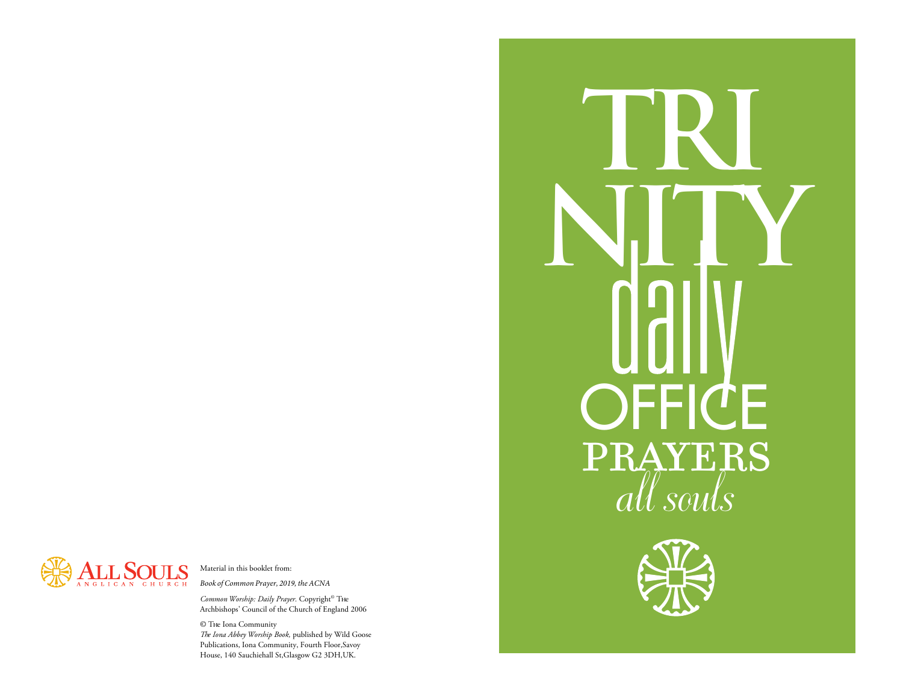

Material in this booklet from: *Book of Common Prayer, 2019, the ACNA* 

*Common Worship: Daily Prayer.* Copyright<sup>®</sup> Тне Archbishops' Council of the Church of England 2006

© The Iona Community

The Iona Abbey Worship Book, published by Wild Goose Publications, Iona Community, Fourth Floor,Savoy House, 140 Sauchiehall St,Glasgow G2 3DH,UK.



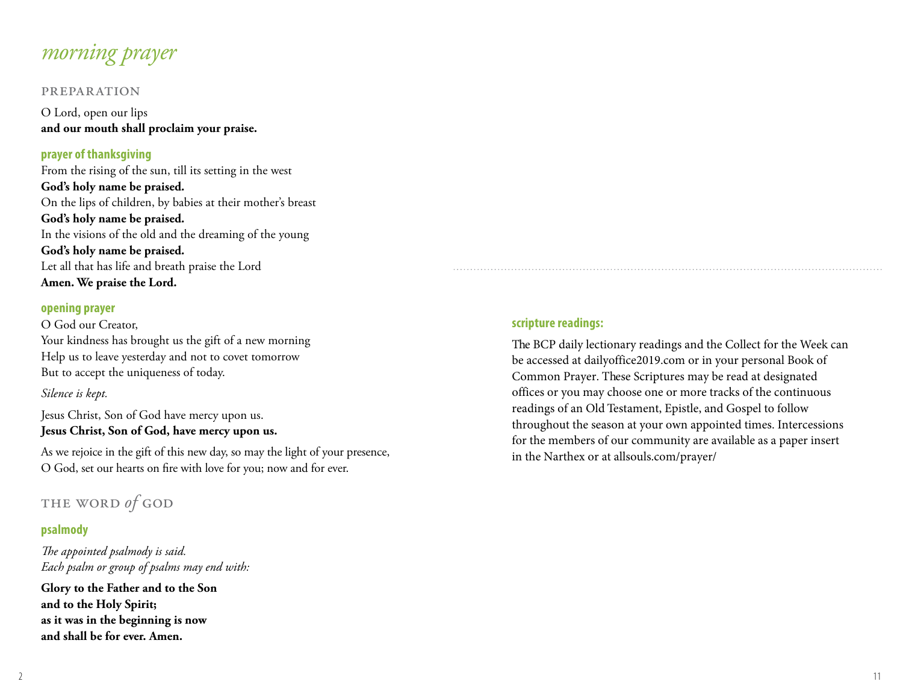# *morning prayer*

#### preparation

O Lord, open our lips **and our mouth shall proclaim your praise.**

#### **prayer of thanksgiving**

From the rising of the sun, till its setting in the west **God's holy name be praised.**  On the lips of children, by babies at their mother's breast **God's holy name be praised.**  In the visions of the old and the dreaming of the young **God's holy name be praised.**  Let all that has life and breath praise the Lord **Amen. We praise the Lord.**

#### **opening prayer**

O God our Creator, Your kindness has brought us the gift of a new morning Help us to leave yesterday and not to covet tomorrow But to accept the uniqueness of today.

#### *Silence is kept.*

Jesus Christ, Son of God have mercy upon us. **Jesus Christ, Son of God, have mercy upon us.** 

As we rejoice in the gift of this new day, so may the light of your presence, O God, set our hearts on fire with love for you; now and for ever.

# the word *of* god

#### **psalmody**

The appointed psalmody is said. *Each psalm or group of psalms may end with:*

**Glory to the Father and to the Son and to the Holy Spirit; as it was in the beginning is now and shall be for ever. Amen.**

#### **scripture readings:**

The BCP daily lectionary readings and the Collect for the Week can be accessed at dailyoffice2019.com or in your personal Book of Common Prayer. These Scriptures may be read at designated offices or you may choose one or more tracks of the continuous readings of an Old Testament, Epistle, and Gospel to follow throughout the season at your own appointed times. Intercessions for the members of our community are available as a paper insert in the Narthex or at allsouls.com/prayer/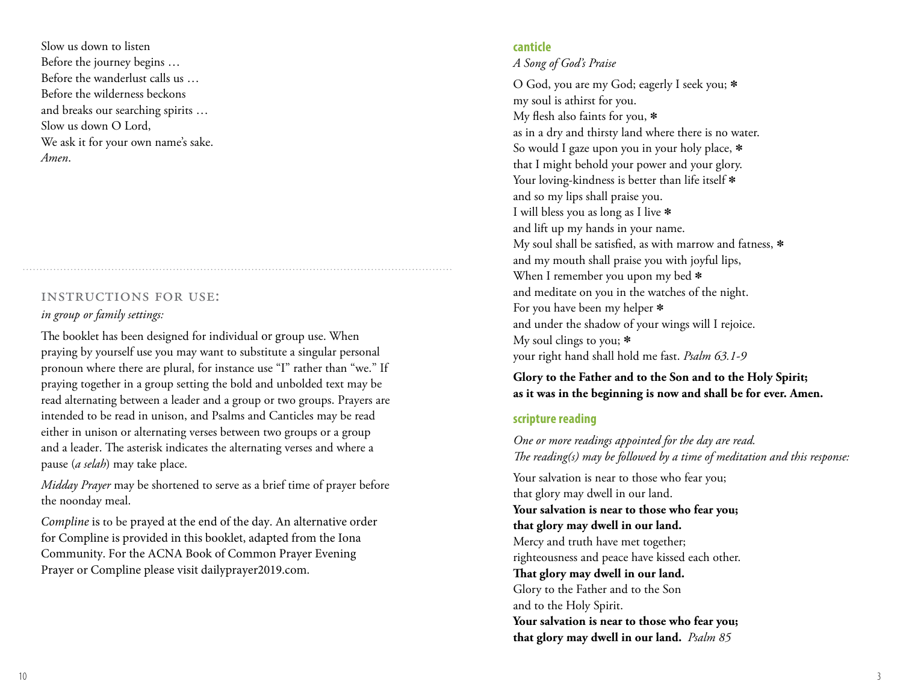Slow us down to listen Before the journey begins … Before the wanderlust calls us … Before the wilderness beckons and breaks our searching spirits … Slow us down O Lord, We ask it for your own name's sake. *Amen*.

#### instructions for use:

#### *in group or family settings:*

The booklet has been designed for individual or group use. When praying by yourself use you may want to substitute a singular personal pronoun where there are plural, for instance use "I" rather than "we." If praying together in a group setting the bold and unbolded text may be read alternating between a leader and a group or two groups. Prayers are intended to be read in unison, and Psalms and Canticles may be read either in unison or alternating verses between two groups or a group and a leader. The asterisk indicates the alternating verses and where a pause (*a selah*) may take place.

*Midday Prayer* may be shortened to serve as a brief time of prayer before the noonday meal.

*Compline* is to be prayed at the end of the day. An alternative order for Compline is provided in this booklet, adapted from the Iona Community. For the ACNA Book of Common Prayer Evening Prayer or Compline please visit dailyprayer2019.com.

### **canticle**

*A Song of God's Praise* 

O God, you are my God; eagerly I seek you; \* my soul is athirst for you. My flesh also faints for you,  $*$ as in a dry and thirsty land where there is no water. So would I gaze upon you in your holy place, \* that I might behold your power and your glory. Your loving-kindness is better than life itself  $*$ and so my lips shall praise you. I will bless you as long as I live \* and lift up my hands in your name. My soul shall be satisfied, as with marrow and fatness,  $*$ and my mouth shall praise you with joyful lips, When I remember you upon my bed  $*$ and meditate on you in the watches of the night. For you have been my helper \* and under the shadow of your wings will I rejoice. My soul clings to you; \* your right hand shall hold me fast. *Psalm 63.1-9*

**Glory to the Father and to the Son and to the Holy Spirit; as it was in the beginning is now and shall be for ever. Amen.**

#### **scripture reading**

*One or more readings appointed for the day are read. T e reading(s) may be followed by a time of meditation and this response:*

Your salvation is near to those who fear you; that glory may dwell in our land. **Your salvation is near to those who fear you; that glory may dwell in our land.** Mercy and truth have met together; righteousness and peace have kissed each other. That glory may dwell in our land. Glory to the Father and to the Son and to the Holy Spirit. **Your salvation is near to those who fear you; that glory may dwell in our land.** *Psalm 85*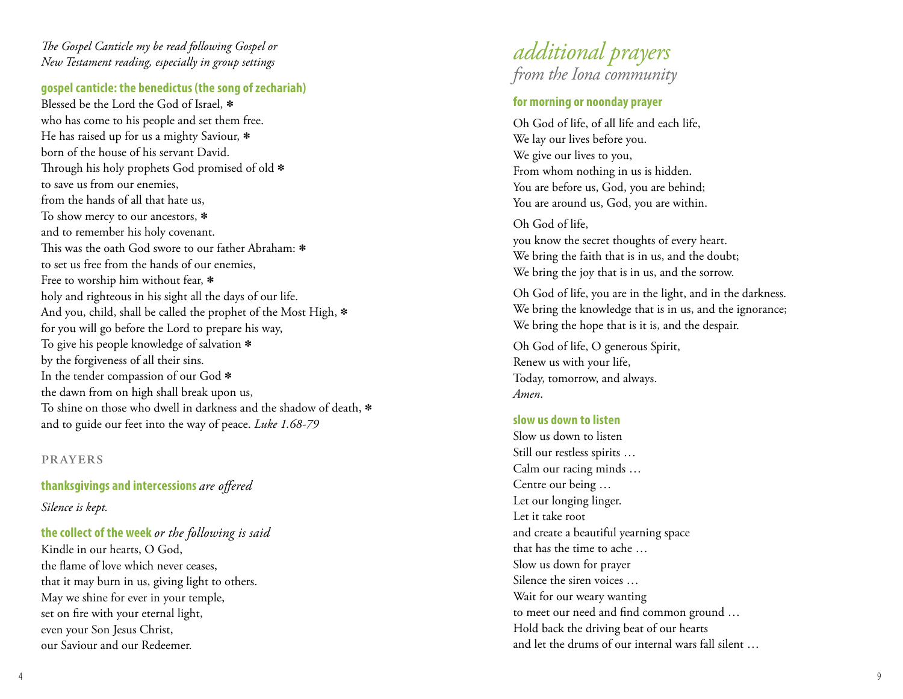### The Gospel Canticle my be read following Gospel or *New Testament reading, especially in group settings*

### **gospel canticle: the benedictus (the song of zechariah)**

Blessed be the Lord the God of Israel, \* who has come to his people and set them free. He has raised up for us a mighty Saviour, \* born of the house of his servant David. Through his holy prophets God promised of old  $\ast$ to save us from our enemies, from the hands of all that hate us, To show mercy to our ancestors, \* and to remember his holy covenant. This was the oath God swore to our father Abraham:  $\ast$ to set us free from the hands of our enemies, Free to worship him without fear,  $*$ holy and righteous in his sight all the days of our life. And you, child, shall be called the prophet of the Most High, \* for you will go before the Lord to prepare his way, To give his people knowledge of salvation \* by the forgiveness of all their sins. In the tender compassion of our God \* the dawn from on high shall break upon us, To shine on those who dwell in darkness and the shadow of death, \* and to guide our feet into the way of peace. *Luke 1.68-79*

#### prayers

### **thanksgivings and intercessions** are offered

*Silence is kept.*

### **the collect of the week** *or the following is said*

Kindle in our hearts, O God, the flame of love which never ceases, that it may burn in us, giving light to others. May we shine for ever in your temple, set on fire with your eternal light, even your Son Jesus Christ, our Saviour and our Redeemer.



### **for morning or noonday prayer**

Oh God of life, of all life and each life, We lay our lives before you. We give our lives to you, From whom nothing in us is hidden. You are before us, God, you are behind; You are around us, God, you are within.

Oh God of life, you know the secret thoughts of every heart. We bring the faith that is in us, and the doubt; We bring the joy that is in us, and the sorrow.

Oh God of life, you are in the light, and in the darkness. We bring the knowledge that is in us, and the ignorance; We bring the hope that is it is, and the despair.

Oh God of life, O generous Spirit, Renew us with your life, Today, tomorrow, and always. *Amen* .

#### **slow us down to listen**

Slow us down to listen Still our restless spirits … Calm our racing minds … Centre our being … Let our longing linger. Let it take root and create a beautiful yearning space that has the time to ache … Slow us down for prayer Silence the siren voices … Wait for our weary wanting to meet our need and find common ground ... Hold back the driving beat of our hearts and let the drums of our internal wars fall silent …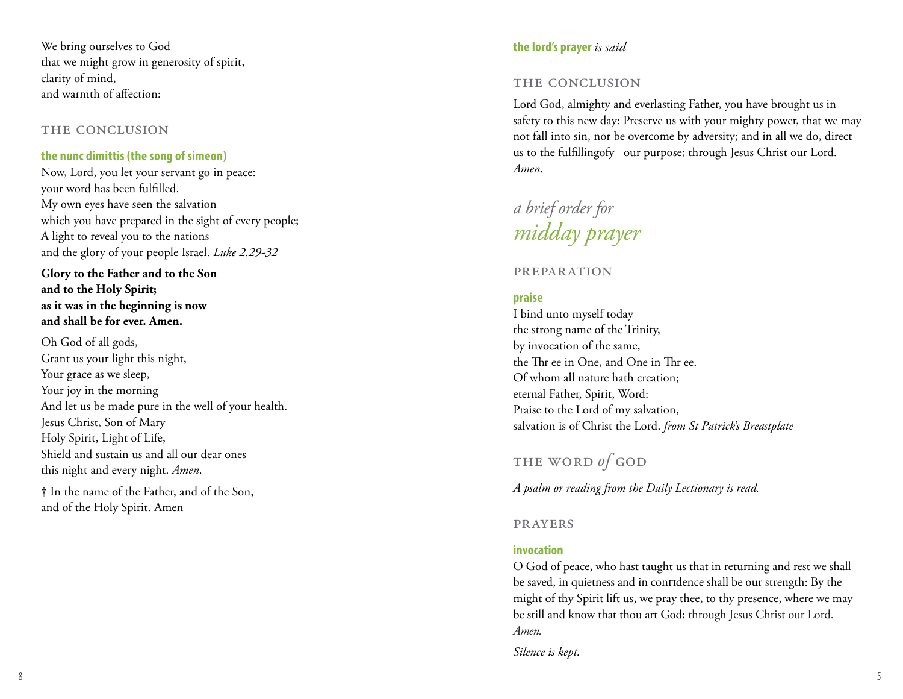We bring ourselves to God that we might grow in generosity of spirit, clarity of mind, and warmth of affection:

#### THE CONCLUSION

### **the nunc dimittis (the song of simeon)**

Now, Lord, you let your servant go in peace: your word has been fulfilled. My own eyes have seen the salvation which you have prepared in the sight of every people; A light to reveal you to the nations and the glory of your people Israel. *Luke 2.29-32*

**Glory to the Father and to the Son and to the Holy Spirit; as it was in the beginning is now and shall be for ever. Amen.**

Oh God of all gods, Grant us your light this night, Your grace as we sleep, Your joy in the morning And let us be made pure in the well of your health. Jesus Christ, Son of Mary Holy Spirit, Light of Life, Shield and sustain us and all our dear ones this night and every night. *Amen*.

† In the name of the Father, and of the Son, and of the Holy Spirit. Amen

### **the lord 's prayer** *is said*

### THE CONCLUSION

Lord God, almighty and everlasting Father, you have brought us in safety to this new day: Preserve us with your mighty power, that we may not fall into sin, nor be overcome by adversity; and in all we do, direct us to the fulfillingofy  $\,$  our purpose; through Jesus Christ our Lord. *Amen* .

*a brief order for midday prayer*

### preparation

### **praise**

I bind unto myself today the strong name of the Trinity, by invocation of the same, the Thr ee in One, and One in Thr ee. Of whom all nature hath creation; eternal Father, Spirit, Word: Praise to the Lord of my salvation, salvation is of Christ the Lord. *from St Patrick's Breastplate*

# the word *of* god

*A psalm or reading from the Daily Lectionary is read.* 

### prayers

### **invocation**

O God of peace, who hast taught us that in returning and rest we shall be s av e d, in quietness and in confidence shall be our strength: By the might of thy Spirit lift us, we pray thee, to thy presence, where we may be still and know that thou art God; through Jesus Christ our Lord. *A m en .*

*Silence is kept.*